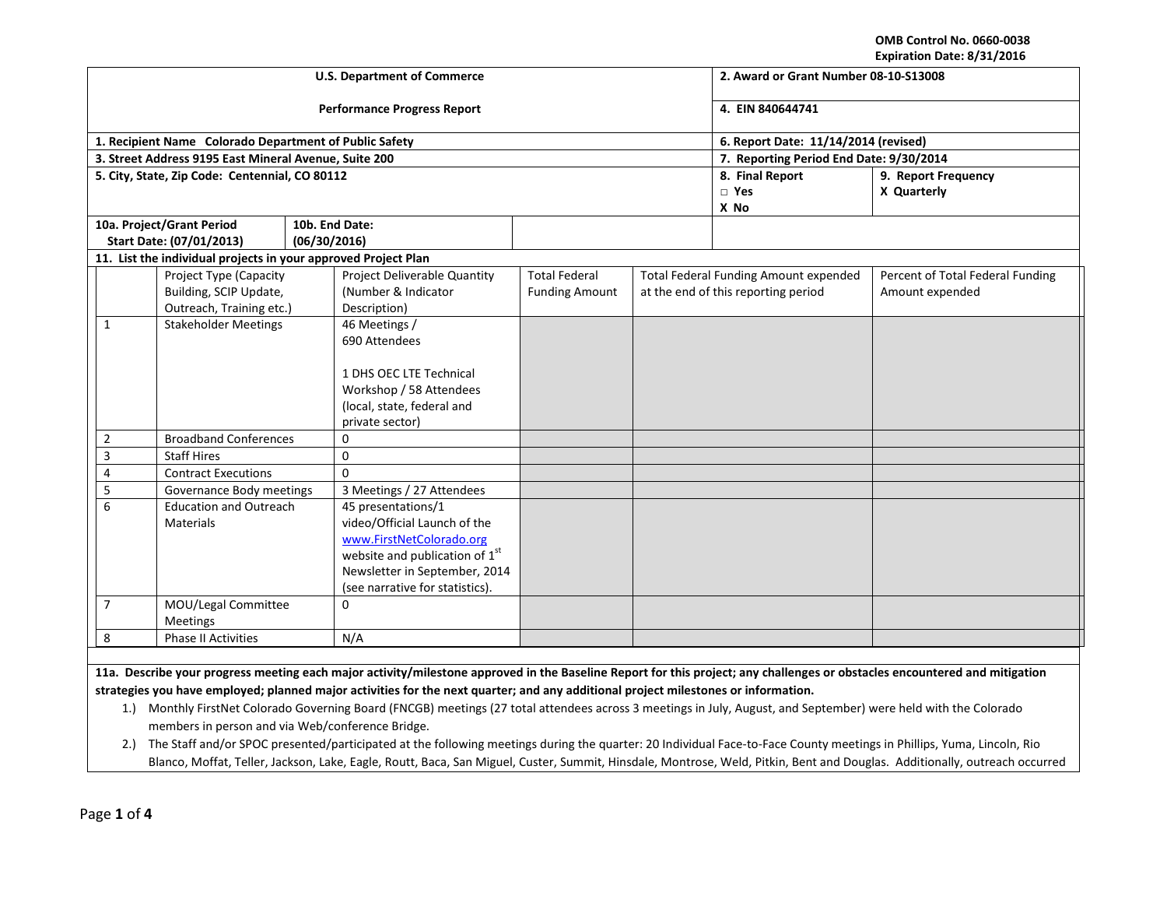**OMB Control No. 0660-0038 Expiration Date: 8/31/2016**

|                                                |                                                                |                                                       | <b>U.S. Department of Commerce</b> | LADII GUUN DAUC. 07 JI7 2010<br>2. Award or Grant Number 08-10-S13008 |  |                                              |                                  |
|------------------------------------------------|----------------------------------------------------------------|-------------------------------------------------------|------------------------------------|-----------------------------------------------------------------------|--|----------------------------------------------|----------------------------------|
|                                                |                                                                |                                                       |                                    |                                                                       |  |                                              |                                  |
|                                                |                                                                |                                                       | <b>Performance Progress Report</b> | 4. EIN 840644741                                                      |  |                                              |                                  |
|                                                | 1. Recipient Name Colorado Department of Public Safety         |                                                       |                                    | 6. Report Date: 11/14/2014 (revised)                                  |  |                                              |                                  |
|                                                | 3. Street Address 9195 East Mineral Avenue, Suite 200          |                                                       |                                    | 7. Reporting Period End Date: 9/30/2014                               |  |                                              |                                  |
|                                                | 5. City, State, Zip Code: Centennial, CO 80112                 |                                                       |                                    |                                                                       |  | 8. Final Report                              | 9. Report Frequency              |
|                                                |                                                                |                                                       |                                    |                                                                       |  | $\Box$ Yes                                   | X Quarterly                      |
|                                                |                                                                |                                                       |                                    |                                                                       |  | X No                                         |                                  |
|                                                | 10a. Project/Grant Period                                      |                                                       | 10b. End Date:                     |                                                                       |  |                                              |                                  |
|                                                | Start Date: (07/01/2013)                                       | (06/30/2016)                                          |                                    |                                                                       |  |                                              |                                  |
|                                                | 11. List the individual projects in your approved Project Plan |                                                       |                                    |                                                                       |  |                                              |                                  |
|                                                | Project Type (Capacity                                         |                                                       | Project Deliverable Quantity       | <b>Total Federal</b>                                                  |  | <b>Total Federal Funding Amount expended</b> | Percent of Total Federal Funding |
|                                                | Building, SCIP Update,                                         |                                                       | (Number & Indicator                | <b>Funding Amount</b>                                                 |  | at the end of this reporting period          | Amount expended                  |
|                                                | Outreach, Training etc.)                                       |                                                       | Description)                       |                                                                       |  |                                              |                                  |
| 1                                              | <b>Stakeholder Meetings</b>                                    |                                                       | 46 Meetings /                      |                                                                       |  |                                              |                                  |
|                                                |                                                                |                                                       | 690 Attendees                      |                                                                       |  |                                              |                                  |
|                                                |                                                                |                                                       |                                    |                                                                       |  |                                              |                                  |
|                                                |                                                                |                                                       | 1 DHS OEC LTE Technical            |                                                                       |  |                                              |                                  |
|                                                |                                                                | Workshop / 58 Attendees<br>(local, state, federal and |                                    |                                                                       |  |                                              |                                  |
|                                                |                                                                |                                                       | private sector)                    |                                                                       |  |                                              |                                  |
| $\overline{2}$<br><b>Broadband Conferences</b> |                                                                | 0                                                     |                                    |                                                                       |  |                                              |                                  |
| 3                                              | <b>Staff Hires</b>                                             |                                                       | $\mathbf 0$                        |                                                                       |  |                                              |                                  |
| 4                                              | <b>Contract Executions</b>                                     |                                                       | $\Omega$                           |                                                                       |  |                                              |                                  |
| 5                                              |                                                                |                                                       | 3 Meetings / 27 Attendees          |                                                                       |  |                                              |                                  |
| 6                                              | Governance Body meetings<br><b>Education and Outreach</b>      |                                                       | 45 presentations/1                 |                                                                       |  |                                              |                                  |
|                                                | <b>Materials</b>                                               |                                                       | video/Official Launch of the       |                                                                       |  |                                              |                                  |
|                                                |                                                                | www.FirstNetColorado.org                              |                                    |                                                                       |  |                                              |                                  |
|                                                |                                                                | website and publication of 1st                        |                                    |                                                                       |  |                                              |                                  |
|                                                |                                                                | Newsletter in September, 2014                         |                                    |                                                                       |  |                                              |                                  |
|                                                |                                                                | (see narrative for statistics).                       |                                    |                                                                       |  |                                              |                                  |
| $\overline{7}$<br>MOU/Legal Committee          |                                                                |                                                       | $\mathbf 0$                        |                                                                       |  |                                              |                                  |
| Meetings                                       |                                                                |                                                       |                                    |                                                                       |  |                                              |                                  |
| 8<br><b>Phase II Activities</b>                |                                                                | N/A                                                   |                                    |                                                                       |  |                                              |                                  |
|                                                |                                                                |                                                       |                                    |                                                                       |  |                                              |                                  |

**11a. Describe your progress meeting each major activity/milestone approved in the Baseline Report for this project; any challenges or obstacles encountered and mitigation strategies you have employed; planned major activities for the next quarter; and any additional project milestones or information.**

- 1.) Monthly FirstNet Colorado Governing Board (FNCGB) meetings (27 total attendees across 3 meetings in July, August, and September) were held with the Colorado members in person and via Web/conference Bridge.
- 2.) The Staff and/or SPOC presented/participated at the following meetings during the quarter: 20 Individual Face-to-Face County meetings in Phillips, Yuma, Lincoln, Rio Blanco, Moffat, Teller, Jackson, Lake, Eagle, Routt, Baca, San Miguel, Custer, Summit, Hinsdale, Montrose, Weld, Pitkin, Bent and Douglas. Additionally, outreach occurred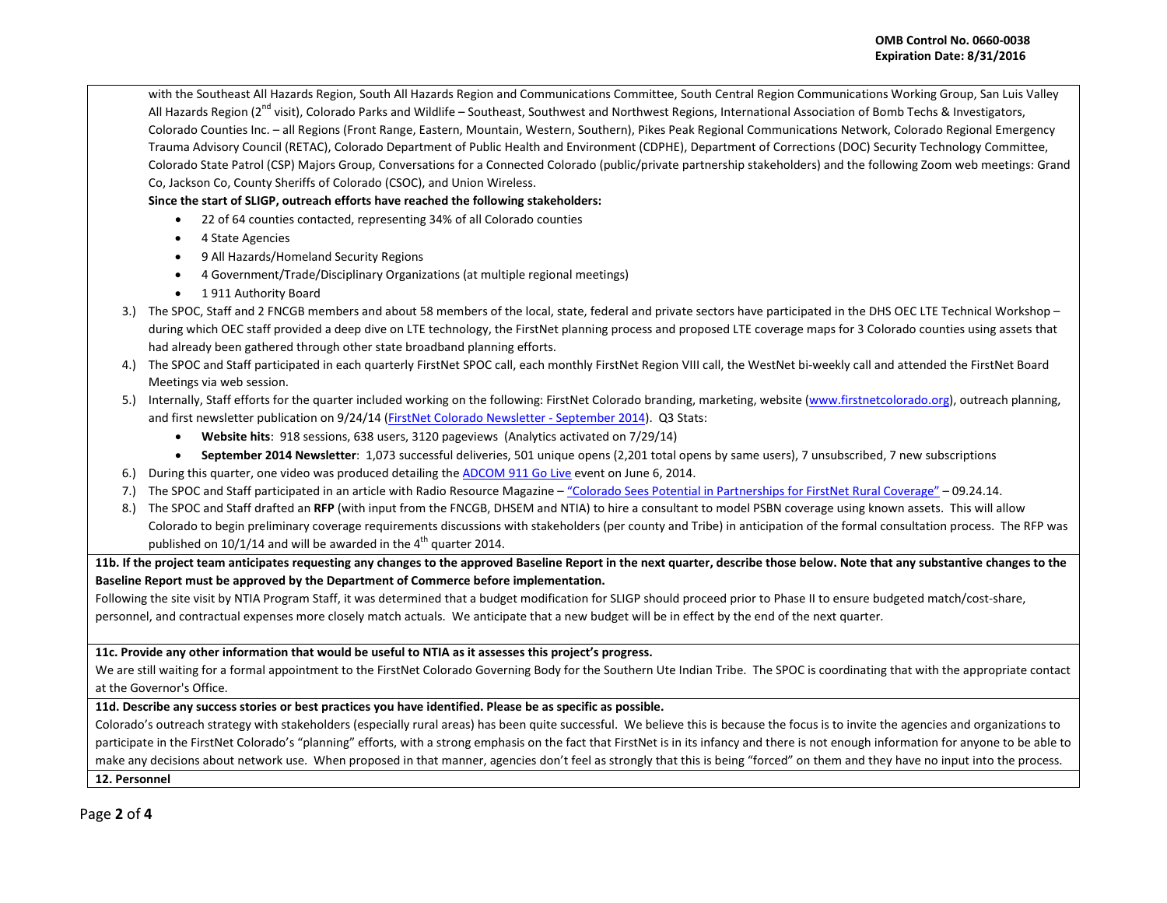with the Southeast All Hazards Region, South All Hazards Region and Communications Committee, South Central Region Communications Working Group, San Luis Valley All Hazards Region (2<sup>nd</sup> visit), Colorado Parks and Wildlife – Southeast, Southwest and Northwest Regions, International Association of Bomb Techs & Investigators, Colorado Counties Inc. – all Regions (Front Range, Eastern, Mountain, Western, Southern), Pikes Peak Regional Communications Network, Colorado Regional Emergency Trauma Advisory Council (RETAC), Colorado Department of Public Health and Environment (CDPHE), Department of Corrections (DOC) Security Technology Committee, Colorado State Patrol (CSP) Majors Group, Conversations for a Connected Colorado (public/private partnership stakeholders) and the following Zoom web meetings: Grand Co, Jackson Co, County Sheriffs of Colorado (CSOC), and Union Wireless.

**Since the start of SLIGP, outreach efforts have reached the following stakeholders:**

- 22 of 64 counties contacted, representing 34% of all Colorado counties
- 4 State Agencies
- 9 All Hazards/Homeland Security Regions
- 4 Government/Trade/Disciplinary Organizations (at multiple regional meetings)
- 1 911 Authority Board
- 3.) The SPOC, Staff and 2 FNCGB members and about 58 members of the local, state, federal and private sectors have participated in the DHS OEC LTE Technical Workshop during which OEC staff provided a deep dive on LTE technology, the FirstNet planning process and proposed LTE coverage maps for 3 Colorado counties using assets that had already been gathered through other state broadband planning efforts.
- 4.) The SPOC and Staff participated in each quarterly FirstNet SPOC call, each monthly FirstNet Region VIII call, the WestNet bi-weekly call and attended the FirstNet Board Meetings via web session.
- 5.) Internally, Staff efforts for the quarter included working on the following: FirstNet Colorado branding, marketing, website [\(www.firstnetcolorado.org\)](http://www.firstnetcolorado.org/), outreach planning, and first newsletter publication on 9/24/14 [\(FirstNet Colorado Newsletter -](http://us8.campaign-archive1.com/?u=ad8d63576316029bf9e801fe4&id=4c33029110) September 2014). Q3 Stats:
	- **Website hits**: 918 sessions, 638 users, 3120 pageviews (Analytics activated on 7/29/14)
	- **September 2014 Newsletter**: 1,073 successful deliveries, 501 unique opens (2,201 total opens by same users), 7 unsubscribed, 7 new subscriptions
- 6.) During this quarter, one video was produced detailing the [ADCOM 911 Go Live](https://drive.google.com/file/d/0Bz1j7r1gtoiTTkVDY2FwdDl4VUU/view?usp=sharing) event on June 6, 2014.
- 7.) The SPOC and Staff participated in an article with Radio Resource Magazine ["Colorado Sees Potential in Partnerships for FirstNet Rural Coverage"](http://www.radioresourcemag.com/onlyonline.cfm?OnlyOnlineID=481) 09.24.14.
- 8.) The SPOC and Staff drafted an **RFP** (with input from the FNCGB, DHSEM and NTIA) to hire a consultant to model PSBN coverage using known assets. This will allow Colorado to begin preliminary coverage requirements discussions with stakeholders (per county and Tribe) in anticipation of the formal consultation process. The RFP was published on  $10/1/14$  and will be awarded in the  $4<sup>th</sup>$  quarter 2014.

**11b. If the project team anticipates requesting any changes to the approved Baseline Report in the next quarter, describe those below. Note that any substantive changes to the Baseline Report must be approved by the Department of Commerce before implementation.**

Following the site visit by NTIA Program Staff, it was determined that a budget modification for SLIGP should proceed prior to Phase II to ensure budgeted match/cost-share, personnel, and contractual expenses more closely match actuals. We anticipate that a new budget will be in effect by the end of the next quarter.

**11c. Provide any other information that would be useful to NTIA as it assesses this project's progress.** 

We are still waiting for a formal appointment to the FirstNet Colorado Governing Body for the Southern Ute Indian Tribe. The SPOC is coordinating that with the appropriate contact at the Governor's Office.

**11d. Describe any success stories or best practices you have identified. Please be as specific as possible.**

Colorado's outreach strategy with stakeholders (especially rural areas) has been quite successful. We believe this is because the focus is to invite the agencies and organizations to participate in the FirstNet Colorado's "planning" efforts, with a strong emphasis on the fact that FirstNet is in its infancy and there is not enough information for anyone to be able to make any decisions about network use. When proposed in that manner, agencies don't feel as strongly that this is being "forced" on them and they have no input into the process. **12. Personnel**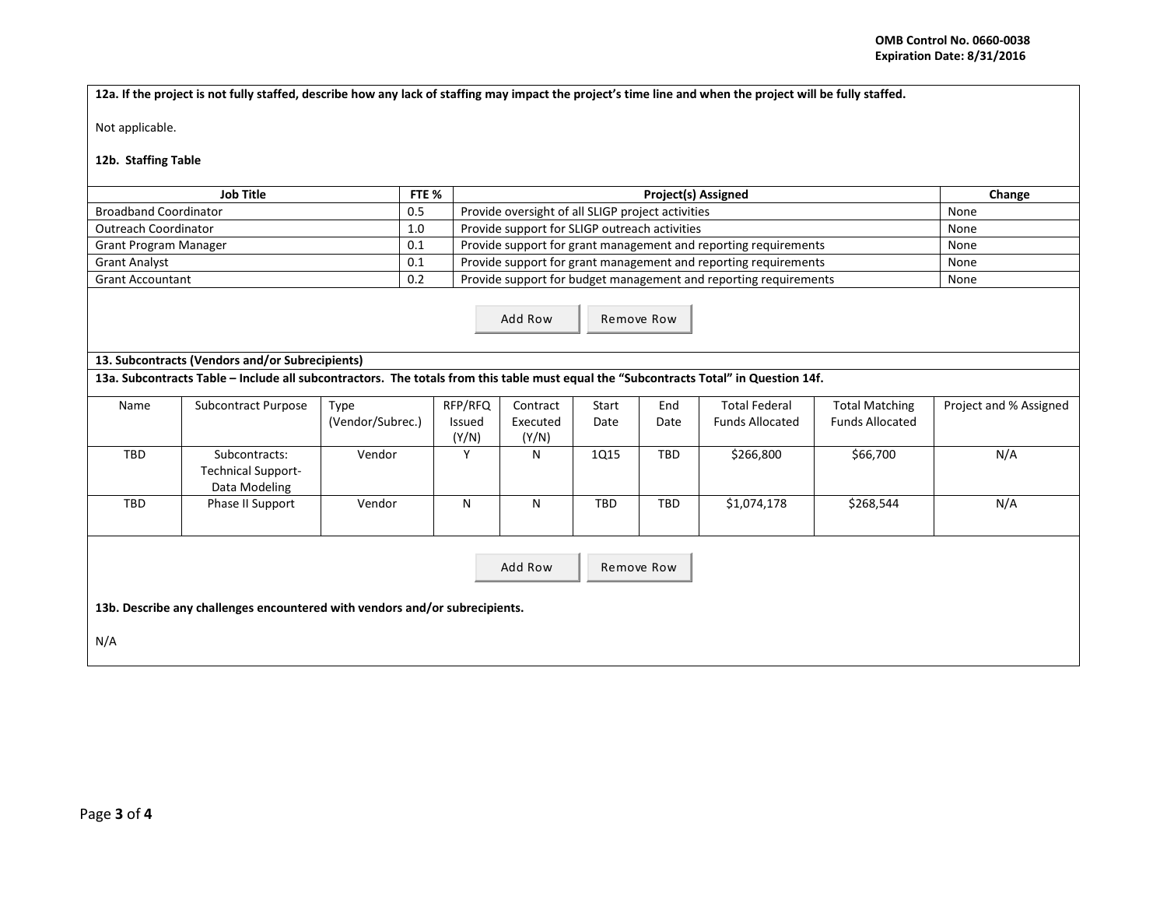**12a. If the project is not fully staffed, describe how any lack of staffing may impact the project's time line and when the project will be fully staffed.**

Not applicable.

## **12b. Staffing Table**

| Job Title                    |     | <b>Project(s) Assigned</b>                                       | Change |
|------------------------------|-----|------------------------------------------------------------------|--------|
| <b>Broadband Coordinator</b> | 0.5 | Provide oversight of all SLIGP project activities                | None   |
| <b>Outreach Coordinator</b>  | 1.0 | Provide support for SLIGP outreach activities                    | None   |
| <b>Grant Program Manager</b> | 0.1 | Provide support for grant management and reporting requirements  | None   |
| <b>Grant Analyst</b>         | 0.1 | Provide support for grant management and reporting requirements  | None   |
| <b>Grant Accountant</b>      | 0.2 | Provide support for budget management and reporting requirements | None   |
|                              |     |                                                                  |        |

Add Row Remove Row

## **13. Subcontracts (Vendors and/or Subrecipients)**

**13a. Subcontracts Table – Include all subcontractors. The totals from this table must equal the "Subcontracts Total" in Question 14f.**

| Name       | <b>Subcontract Purpose</b> | Type             | RFP/RFQ | Contract | Start       | End        | <b>Total Federal</b>   | <b>Total Matching</b>  | Project and % Assigned |
|------------|----------------------------|------------------|---------|----------|-------------|------------|------------------------|------------------------|------------------------|
|            |                            | (Vendor/Subrec.) | Issued  | Executed | Date        | Date       | <b>Funds Allocated</b> | <b>Funds Allocated</b> |                        |
|            |                            |                  | (Y/N)   | (Y/N)    |             |            |                        |                        |                        |
| TBD        | Subcontracts:              | Vendor           |         | N        | <b>1Q15</b> | <b>TBD</b> | \$266,800              | \$66,700               | N/A                    |
|            | <b>Technical Support-</b>  |                  |         |          |             |            |                        |                        |                        |
|            | Data Modeling              |                  |         |          |             |            |                        |                        |                        |
| <b>TBD</b> | Phase II Support           | Vendor           | N       | N        | TBD         | <b>TBD</b> | \$1,074,178            | \$268,544              | N/A                    |
|            |                            |                  |         |          |             |            |                        |                        |                        |
|            |                            |                  |         |          |             |            |                        |                        |                        |
|            |                            |                  |         |          |             |            |                        |                        |                        |
|            | Add Row<br>Remove Row      |                  |         |          |             |            |                        |                        |                        |

**13b. Describe any challenges encountered with vendors and/or subrecipients.** 

N/A